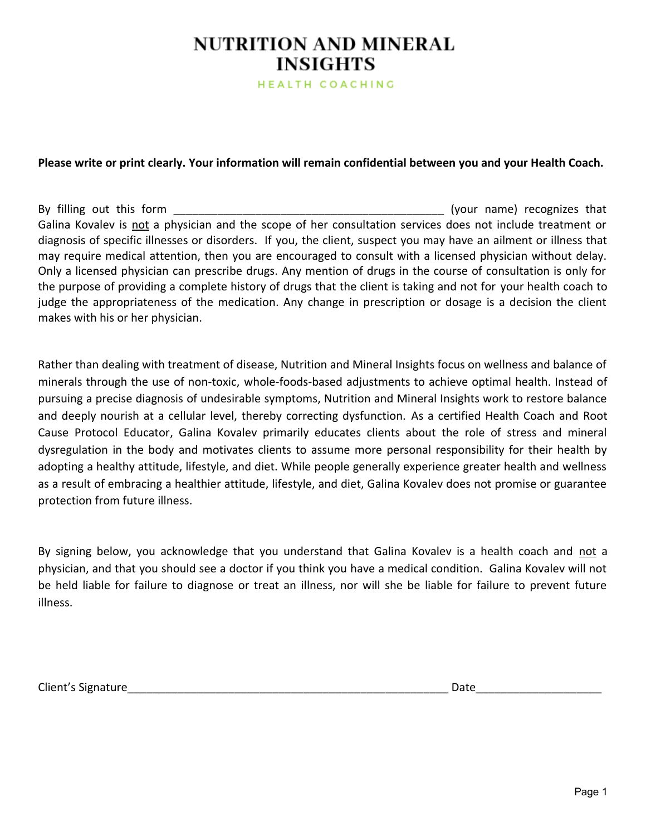HEALTH COACHING

### **Please write or print clearly. Your information will remain confidential between you and your Health Coach.**

By filling out this form \_\_\_\_\_\_\_\_\_\_\_\_\_\_\_\_\_\_\_\_\_\_\_\_\_\_\_\_\_\_\_\_\_\_\_\_\_\_\_\_\_\_\_ (your name) recognizes that Galina Kovalev is not a physician and the scope of her consultation services does not include treatment or diagnosis of specific illnesses or disorders. If you, the client, suspect you may have an ailment or illness that may require medical attention, then you are encouraged to consult with a licensed physician without delay. Only a licensed physician can prescribe drugs. Any mention of drugs in the course of consultation is only for the purpose of providing a complete history of drugs that the client is taking and not for your health coach to judge the appropriateness of the medication. Any change in prescription or dosage is a decision the client makes with his or her physician.

Rather than dealing with treatment of disease, Nutrition and Mineral Insights focus on wellness and balance of minerals through the use of non-toxic, whole-foods-based adjustments to achieve optimal health. Instead of pursuing a precise diagnosis of undesirable symptoms, Nutrition and Mineral Insights work to restore balance and deeply nourish at a cellular level, thereby correcting dysfunction. As a certified Health Coach and Root Cause Protocol Educator, Galina Kovalev primarily educates clients about the role of stress and mineral dysregulation in the body and motivates clients to assume more personal responsibility for their health by adopting a healthy attitude, lifestyle, and diet. While people generally experience greater health and wellness as a result of embracing a healthier attitude, lifestyle, and diet, Galina Kovalev does not promise or guarantee protection from future illness.

By signing below, you acknowledge that you understand that Galina Kovalev is a health coach and not a physician, and that you should see a doctor if you think you have a medical condition. Galina Kovalev will not be held liable for failure to diagnose or treat an illness, nor will she be liable for failure to prevent future illness.

Client's Signature\_\_\_\_\_\_\_\_\_\_\_\_\_\_\_\_\_\_\_\_\_\_\_\_\_\_\_\_\_\_\_\_\_\_\_\_\_\_\_\_\_\_\_\_\_\_\_\_\_\_\_ Date\_\_\_\_\_\_\_\_\_\_\_\_\_\_\_\_\_\_\_\_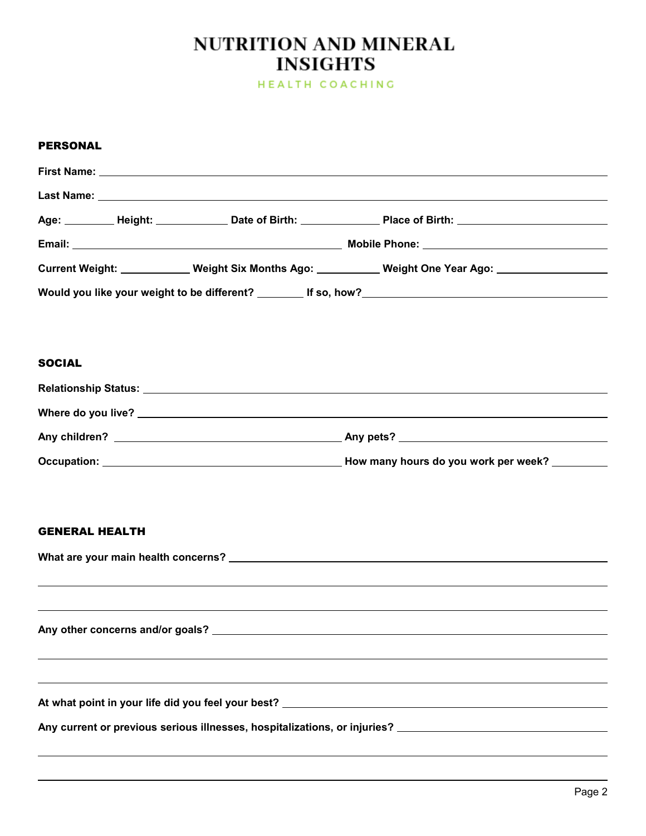HEALTH COACHING

#### PERSONAL

|               |  | First Name: <u>example and the second contract of the second contract of the second contract of the second contract of the second contract of the second contract of the second contract of the second contract of the second co</u> |  |  |
|---------------|--|--------------------------------------------------------------------------------------------------------------------------------------------------------------------------------------------------------------------------------------|--|--|
|               |  |                                                                                                                                                                                                                                      |  |  |
|               |  | Age: _________ Height: _____________ Date of Birth: ______________ Place of Birth: __________________________                                                                                                                        |  |  |
|               |  |                                                                                                                                                                                                                                      |  |  |
|               |  | Current Weight: ____________ Weight Six Months Ago: __________ Weight One Year Ago: _______________                                                                                                                                  |  |  |
|               |  |                                                                                                                                                                                                                                      |  |  |
|               |  |                                                                                                                                                                                                                                      |  |  |
|               |  |                                                                                                                                                                                                                                      |  |  |
| <b>SOCIAL</b> |  |                                                                                                                                                                                                                                      |  |  |
|               |  |                                                                                                                                                                                                                                      |  |  |
|               |  |                                                                                                                                                                                                                                      |  |  |
|               |  |                                                                                                                                                                                                                                      |  |  |
|               |  |                                                                                                                                                                                                                                      |  |  |

#### GENERAL HEALTH

| Any current or previous serious illnesses, hospitalizations, or injuries? Letterman and the series of the serious |
|-------------------------------------------------------------------------------------------------------------------|
|                                                                                                                   |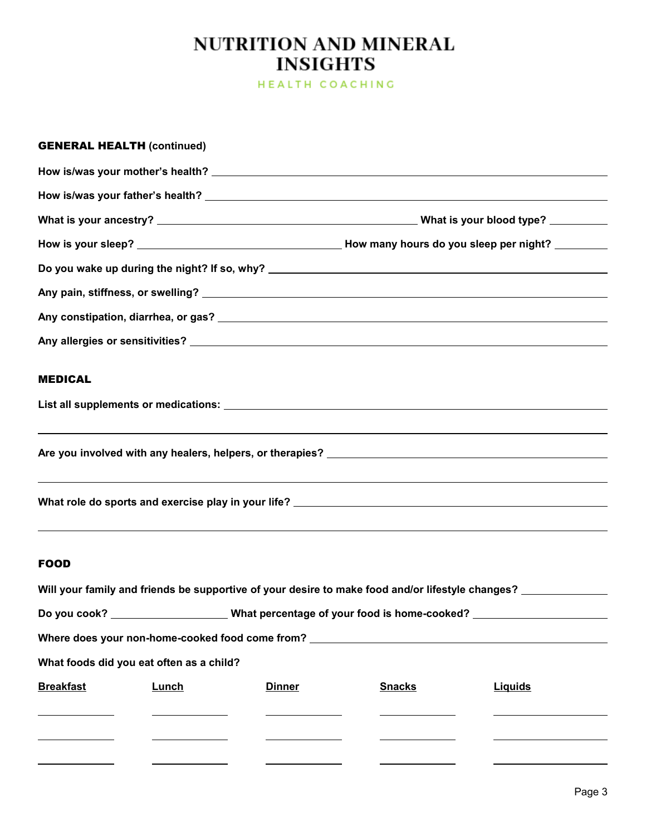HEALTH COACHING

|                  | <b>GENERAL HEALTH (continued)</b>        |               |                                                                                  |                                                                                                                |
|------------------|------------------------------------------|---------------|----------------------------------------------------------------------------------|----------------------------------------------------------------------------------------------------------------|
|                  |                                          |               |                                                                                  |                                                                                                                |
|                  |                                          |               |                                                                                  |                                                                                                                |
|                  |                                          |               |                                                                                  |                                                                                                                |
|                  |                                          |               |                                                                                  |                                                                                                                |
|                  |                                          |               |                                                                                  |                                                                                                                |
|                  |                                          |               |                                                                                  |                                                                                                                |
|                  |                                          |               |                                                                                  |                                                                                                                |
|                  |                                          |               |                                                                                  |                                                                                                                |
| <b>MEDICAL</b>   |                                          |               |                                                                                  |                                                                                                                |
|                  |                                          |               |                                                                                  |                                                                                                                |
|                  |                                          |               |                                                                                  |                                                                                                                |
|                  |                                          |               |                                                                                  |                                                                                                                |
|                  |                                          |               |                                                                                  | ,我们也不会有什么。""我们的人,我们也不会有什么?""我们的人,我们也不会有什么?""我们的人,我们也不会有什么?""我们的人,我们也不会有什么?""我们的人                               |
|                  |                                          |               |                                                                                  |                                                                                                                |
|                  |                                          |               |                                                                                  | ,我们也不会有什么?""我们的人,我们也不会有什么?""我们的人,我们也不会有什么?""我们的人,我们也不会有什么?""我们的人,我们也不会有什么?""我们的人                               |
| <b>FOOD</b>      |                                          |               |                                                                                  |                                                                                                                |
|                  |                                          |               |                                                                                  |                                                                                                                |
|                  |                                          |               |                                                                                  | Will your family and friends be supportive of your desire to make food and/or lifestyle changes? _____________ |
|                  |                                          |               |                                                                                  | Do you cook? _______________________What percentage of your food is home-cooked? ___________________           |
|                  |                                          |               | Where does your non-home-cooked food come from? ________________________________ |                                                                                                                |
|                  | What foods did you eat often as a child? |               |                                                                                  |                                                                                                                |
| <b>Breakfast</b> | <b>Lunch</b>                             | <b>Dinner</b> | <b>Snacks</b>                                                                    | <b>Liquids</b>                                                                                                 |
|                  |                                          |               |                                                                                  |                                                                                                                |
|                  |                                          |               |                                                                                  |                                                                                                                |